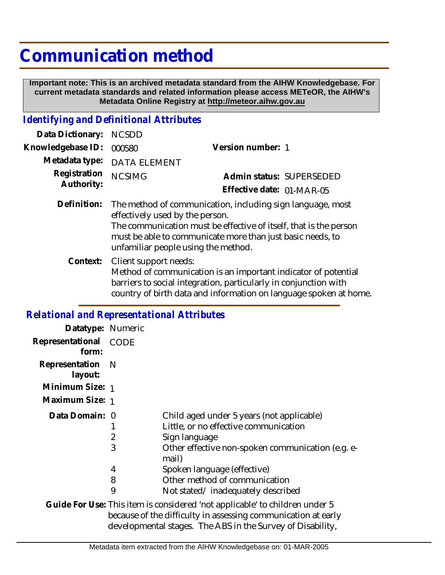## **Communication method**

 **Important note: This is an archived metadata standard from the AIHW Knowledgebase. For current metadata standards and related information please access METeOR, the AIHW's Metadata Online Registry at http://meteor.aihw.gov.au**

## *Identifying and Definitional Attributes*

| Data Dictionary:           | <b>NCSDD</b>                                                                                                                                                                                                                                                            |                           |
|----------------------------|-------------------------------------------------------------------------------------------------------------------------------------------------------------------------------------------------------------------------------------------------------------------------|---------------------------|
| Knowledgebase ID:          | 000580                                                                                                                                                                                                                                                                  | Version number: 1         |
| Metadata type:             | <b>DATA ELEMENT</b>                                                                                                                                                                                                                                                     |                           |
| Registration<br>Authority: | <b>NCSIMG</b>                                                                                                                                                                                                                                                           | Admin status: SUPERSEDED  |
|                            |                                                                                                                                                                                                                                                                         | Effective date: 01-MAR-05 |
| Definition:                | The method of communication, including sign language, most<br>effectively used by the person.<br>The communication must be effective of itself, that is the person<br>must be able to communicate more than just basic needs, to<br>unfamiliar people using the method. |                           |
| Context:                   | Client support needs:<br>Method of communication is an important indicator of potential<br>barriers to social integration, particularly in conjunction with<br>country of birth data and information on language spoken at home.                                        |                           |

## *Relational and Representational Attributes*

| Datatype: Numeric           |                                    |                                                                                                                                                                                                                                                                        |
|-----------------------------|------------------------------------|------------------------------------------------------------------------------------------------------------------------------------------------------------------------------------------------------------------------------------------------------------------------|
| Representational<br>form:   | CODE                               |                                                                                                                                                                                                                                                                        |
| Representation N<br>layout: |                                    |                                                                                                                                                                                                                                                                        |
| Minimum Size: 1             |                                    |                                                                                                                                                                                                                                                                        |
| Maximum Size: 1             |                                    |                                                                                                                                                                                                                                                                        |
| Data Domain: 0              | $\overline{2}$<br>3<br>4<br>8<br>9 | Child aged under 5 years (not applicable)<br>Little, or no effective communication<br>Sign language<br>Other effective non-spoken communication (e.g. e-<br>mail)<br>Spoken language (effective)<br>Other method of communication<br>Not stated/inadequately described |
|                             |                                    | Guide For Use: This item is considered 'not annlicable' to children under 5.                                                                                                                                                                                           |

prisidered 'not applicable' to children under 5 because of the difficulty in assessing communication at early developmental stages. The ABS in the Survey of Disability, **Guide For Use:**